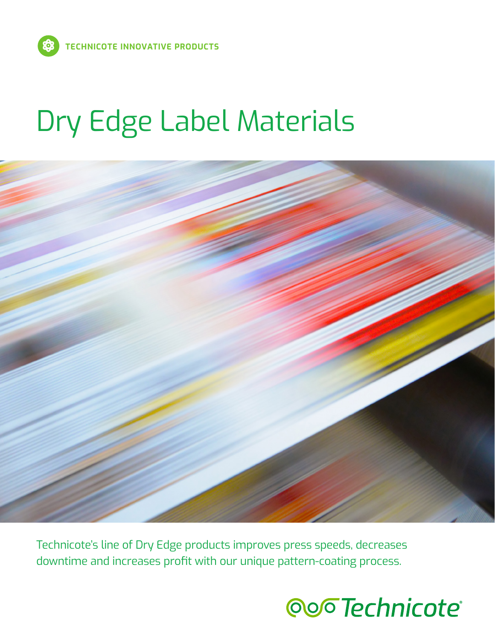# Dry Edge Label Materials



Technicote's line of Dry Edge products improves press speeds, decreases downtime and increases profit with our unique pattern-coating process.